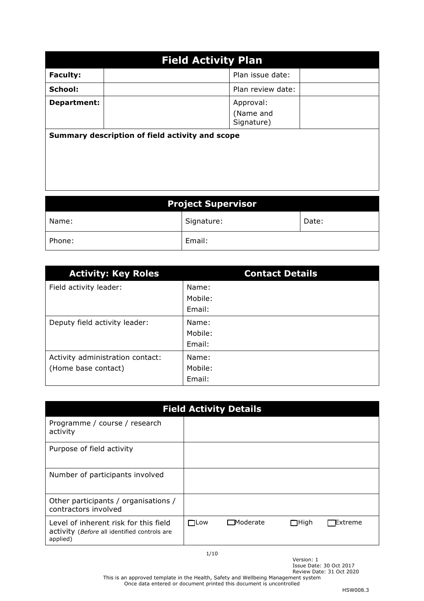| <b>Field Activity Plan</b>                      |                                      |  |  |  |
|-------------------------------------------------|--------------------------------------|--|--|--|
| <b>Faculty:</b>                                 | Plan issue date:                     |  |  |  |
| School:                                         | Plan review date:                    |  |  |  |
| Department:                                     | Approval:<br>(Name and<br>Signature) |  |  |  |
| Summary description of field activity and scope |                                      |  |  |  |

| <b>Project Supervisor</b> |            |       |  |  |
|---------------------------|------------|-------|--|--|
| Name:                     | Signature: | Date: |  |  |
| Phone:                    | Email:     |       |  |  |

| <b>Activity: Key Roles</b>       | <b>Contact Details</b> |
|----------------------------------|------------------------|
| Field activity leader:           | Name:                  |
|                                  | Mobile:                |
|                                  | Email:                 |
| Deputy field activity leader:    | Name:                  |
|                                  | Mobile:                |
|                                  | Email:                 |
| Activity administration contact: | Name:                  |
| (Home base contact)              | Mobile:                |
|                                  | Email:                 |

| <b>Field Activity Details</b>                                                                     |            |                 |             |         |
|---------------------------------------------------------------------------------------------------|------------|-----------------|-------------|---------|
| Programme / course / research<br>activity                                                         |            |                 |             |         |
| Purpose of field activity                                                                         |            |                 |             |         |
| Number of participants involved                                                                   |            |                 |             |         |
| Other participants / organisations /<br>contractors involved                                      |            |                 |             |         |
| Level of inherent risk for this field<br>activity (Before all identified controls are<br>applied) | $\Box$ Low | $\Box$ Moderate | $\Box$ High | Extreme |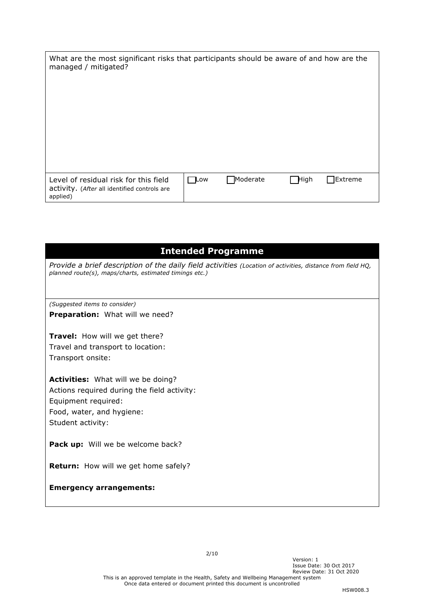| What are the most significant risks that participants should be aware of and how are the<br>managed / mitigated? |             |          |              |          |
|------------------------------------------------------------------------------------------------------------------|-------------|----------|--------------|----------|
| Level of residual risk for this field<br>activity. (After all identified controls are<br>applied)                | <b>□Low</b> | Moderate | <b>H</b> igh | TExtreme |

## **Intended Programme**

*Provide a brief description of the daily field activities (Location of activities, distance from field HQ, planned route(s), maps/charts, estimated timings etc.)*

*(Suggested items to consider)* **Preparation:** What will we need?

**Travel:** How will we get there? Travel and transport to location: Transport onsite:

**Activities:** What will we be doing? Actions required during the field activity: Equipment required: Food, water, and hygiene: Student activity:

**Pack up:** Will we be welcome back?

**Return:** How will we get home safely?

#### **Emergency arrangements:**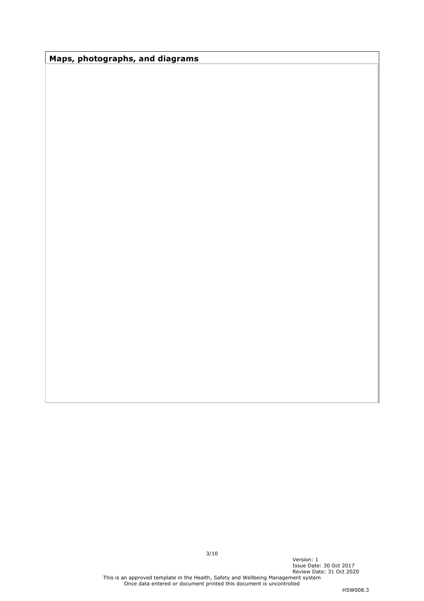**Maps, photographs, and diagrams**

Version: 1

Issue Date: 30 Oct 2017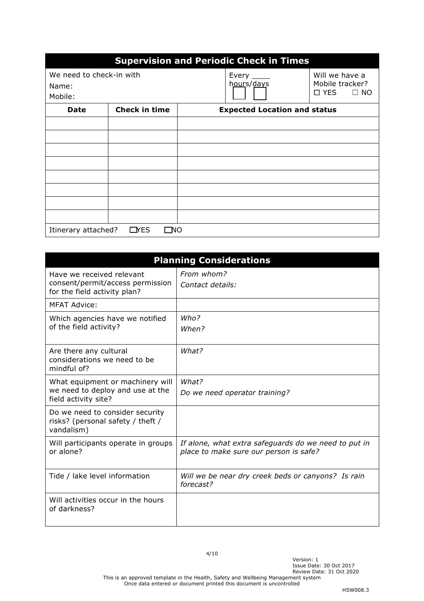| <b>Supervision and Periodic Check in Times</b> |                      |  |                                     |                                   |
|------------------------------------------------|----------------------|--|-------------------------------------|-----------------------------------|
| We need to check-in with<br>Name:              |                      |  | Every $\_\_\_\_\_\$<br>hours/days   | Will we have a<br>Mobile tracker? |
| Mobile:                                        |                      |  |                                     | $\square$ YES<br>$\Box$ No        |
| <b>Date</b>                                    | <b>Check in time</b> |  | <b>Expected Location and status</b> |                                   |
|                                                |                      |  |                                     |                                   |
|                                                |                      |  |                                     |                                   |
|                                                |                      |  |                                     |                                   |
|                                                |                      |  |                                     |                                   |
|                                                |                      |  |                                     |                                   |
|                                                |                      |  |                                     |                                   |
|                                                |                      |  |                                     |                                   |
|                                                |                      |  |                                     |                                   |
| Itinerary attached?<br>$\Box$ YES<br>NО        |                      |  |                                     |                                   |

|                                                                                               | <b>Planning Considerations</b>                                                                 |
|-----------------------------------------------------------------------------------------------|------------------------------------------------------------------------------------------------|
| Have we received relevant<br>consent/permit/access permission<br>for the field activity plan? | From whom?<br>Contact details:                                                                 |
| MFAT Advice:                                                                                  |                                                                                                |
| Which agencies have we notified<br>of the field activity?                                     | Who?<br>When?                                                                                  |
| Are there any cultural<br>considerations we need to be<br>mindful of?                         | What?                                                                                          |
| What equipment or machinery will<br>we need to deploy and use at the<br>field activity site?  | What?<br>Do we need operator training?                                                         |
| Do we need to consider security<br>risks? (personal safety / theft /<br>vandalism)            |                                                                                                |
| Will participants operate in groups<br>or alone?                                              | If alone, what extra safeguards do we need to put in<br>place to make sure our person is safe? |
| Tide / lake level information                                                                 | Will we be near dry creek beds or canyons? Is rain<br>forecast?                                |
| Will activities occur in the hours<br>of darkness?                                            |                                                                                                |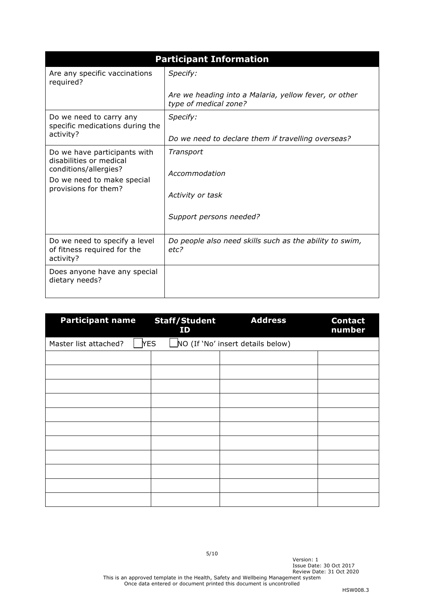|                                                                                                                                        | <b>Participant Information</b>                                                 |  |  |  |
|----------------------------------------------------------------------------------------------------------------------------------------|--------------------------------------------------------------------------------|--|--|--|
| Are any specific vaccinations<br>required?                                                                                             | Specify:                                                                       |  |  |  |
|                                                                                                                                        | Are we heading into a Malaria, yellow fever, or other<br>type of medical zone? |  |  |  |
| Do we need to carry any<br>specific medications during the                                                                             | Specify:                                                                       |  |  |  |
| activity?                                                                                                                              | Do we need to declare them if travelling overseas?                             |  |  |  |
| Do we have participants with<br>disabilities or medical<br>conditions/allergies?<br>Do we need to make special<br>provisions for them? | Transport<br>Accommodation<br>Activity or task<br>Support persons needed?      |  |  |  |
| Do we need to specify a level<br>of fitness required for the<br>activity?                                                              | Do people also need skills such as the ability to swim,<br>etc?                |  |  |  |
| Does anyone have any special<br>dietary needs?                                                                                         |                                                                                |  |  |  |

| <b>Participant name</b> | <b>Staff/Student</b><br>ID | <b>Address</b>                    | <b>Contact</b><br>number |
|-------------------------|----------------------------|-----------------------------------|--------------------------|
| Master list attached?   | <b>YES</b>                 | NO (If 'No' insert details below) |                          |
|                         |                            |                                   |                          |
|                         |                            |                                   |                          |
|                         |                            |                                   |                          |
|                         |                            |                                   |                          |
|                         |                            |                                   |                          |
|                         |                            |                                   |                          |
|                         |                            |                                   |                          |
|                         |                            |                                   |                          |
|                         |                            |                                   |                          |
|                         |                            |                                   |                          |
|                         |                            |                                   |                          |

Version: 1

Issue Date: 30 Oct 2017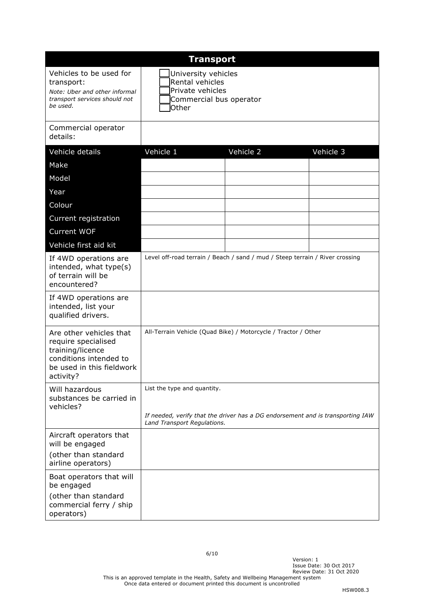| <b>Transport</b>                                                                                                                       |                                                                                                                                              |           |           |  |
|----------------------------------------------------------------------------------------------------------------------------------------|----------------------------------------------------------------------------------------------------------------------------------------------|-----------|-----------|--|
| Vehicles to be used for<br>transport:<br>Note: Uber and other informal<br>transport services should not<br>be used.                    | University vehicles<br>Rental vehicles<br>Private vehicles<br>Commercial bus operator<br><b>Other</b>                                        |           |           |  |
| Commercial operator<br>details:                                                                                                        |                                                                                                                                              |           |           |  |
| Vehicle details                                                                                                                        | Vehicle 1                                                                                                                                    | Vehicle 2 | Vehicle 3 |  |
| Make                                                                                                                                   |                                                                                                                                              |           |           |  |
| Model                                                                                                                                  |                                                                                                                                              |           |           |  |
| Year                                                                                                                                   |                                                                                                                                              |           |           |  |
| Colour                                                                                                                                 |                                                                                                                                              |           |           |  |
| Current registration                                                                                                                   |                                                                                                                                              |           |           |  |
| <b>Current WOF</b>                                                                                                                     |                                                                                                                                              |           |           |  |
| Vehicle first aid kit                                                                                                                  |                                                                                                                                              |           |           |  |
| If 4WD operations are<br>intended, what type(s)<br>of terrain will be<br>encountered?                                                  | Level off-road terrain / Beach / sand / mud / Steep terrain / River crossing                                                                 |           |           |  |
| If 4WD operations are<br>intended, list your<br>qualified drivers.                                                                     |                                                                                                                                              |           |           |  |
| Are other vehicles that<br>require specialised<br>training/licence<br>conditions intended to<br>be used in this fieldwork<br>activity? | All-Terrain Vehicle (Quad Bike) / Motorcycle / Tractor / Other                                                                               |           |           |  |
| Will hazardous<br>substances be carried in<br>vehicles?                                                                                | List the type and quantity.<br>If needed, verify that the driver has a DG endorsement and is transporting IAW<br>Land Transport Regulations. |           |           |  |
| Aircraft operators that<br>will be engaged                                                                                             |                                                                                                                                              |           |           |  |
| (other than standard<br>airline operators)                                                                                             |                                                                                                                                              |           |           |  |
| Boat operators that will<br>be engaged                                                                                                 |                                                                                                                                              |           |           |  |
| (other than standard<br>commercial ferry / ship<br>operators)                                                                          |                                                                                                                                              |           |           |  |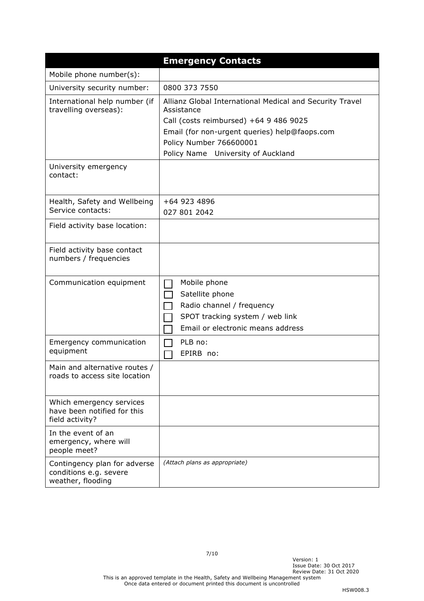|                                                                             | <b>Emergency Contacts</b>                                                                                                                                                                                                          |
|-----------------------------------------------------------------------------|------------------------------------------------------------------------------------------------------------------------------------------------------------------------------------------------------------------------------------|
| Mobile phone number(s):                                                     |                                                                                                                                                                                                                                    |
| University security number:                                                 | 0800 373 7550                                                                                                                                                                                                                      |
| International help number (if<br>travelling overseas):                      | Allianz Global International Medical and Security Travel<br>Assistance<br>Call (costs reimbursed) +64 9 486 9025<br>Email (for non-urgent queries) help@faops.com<br>Policy Number 766600001<br>Policy Name University of Auckland |
| University emergency<br>contact:                                            |                                                                                                                                                                                                                                    |
| Health, Safety and Wellbeing<br>Service contacts:                           | +64 923 4896<br>027 801 2042                                                                                                                                                                                                       |
| Field activity base location:                                               |                                                                                                                                                                                                                                    |
| Field activity base contact<br>numbers / frequencies                        |                                                                                                                                                                                                                                    |
| Communication equipment                                                     | Mobile phone<br>Satellite phone<br>Radio channel / frequency<br>SPOT tracking system / web link<br>Email or electronic means address                                                                                               |
| Emergency communication<br>equipment                                        | PLB no:<br>EPIRB no:                                                                                                                                                                                                               |
| Main and alternative routes /<br>roads to access site location              |                                                                                                                                                                                                                                    |
| Which emergency services<br>have been notified for this<br>field activity?  |                                                                                                                                                                                                                                    |
| In the event of an<br>emergency, where will<br>people meet?                 |                                                                                                                                                                                                                                    |
| Contingency plan for adverse<br>conditions e.g. severe<br>weather, flooding | (Attach plans as appropriate)                                                                                                                                                                                                      |

Version: 1

Issue Date: 30 Oct 2017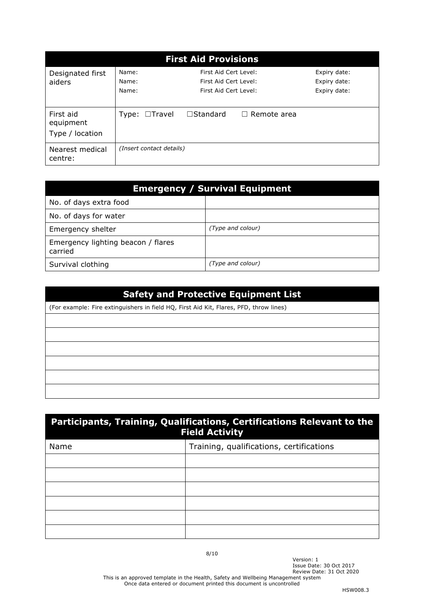| <b>First Aid Provisions</b>               |                          |                                                                         |                    |                                              |  |
|-------------------------------------------|--------------------------|-------------------------------------------------------------------------|--------------------|----------------------------------------------|--|
| Designated first<br>aiders                | Name:<br>Name:<br>Name:  | First Aid Cert Level:<br>First Aid Cert Level:<br>First Aid Cert Level: |                    | Expiry date:<br>Expiry date:<br>Expiry date: |  |
| First aid<br>equipment<br>Type / location | Type: $\Box$ Travel      | $\square$ Standard                                                      | $\Box$ Remote area |                                              |  |
| Nearest medical<br>centre:                | (Insert contact details) |                                                                         |                    |                                              |  |

| <b>Emergency / Survival Equipment</b>         |                   |
|-----------------------------------------------|-------------------|
| No. of days extra food                        |                   |
| No. of days for water                         |                   |
| Emergency shelter                             | (Type and colour) |
| Emergency lighting beacon / flares<br>carried |                   |
| Survival clothing                             | (Type and colour) |

| <b>Safety and Protective Equipment List</b>                                            |  |  |
|----------------------------------------------------------------------------------------|--|--|
| (For example: Fire extinguishers in field HQ, First Aid Kit, Flares, PFD, throw lines) |  |  |
|                                                                                        |  |  |
|                                                                                        |  |  |
|                                                                                        |  |  |
|                                                                                        |  |  |
|                                                                                        |  |  |
|                                                                                        |  |  |

| Participants, Training, Qualifications, Certifications Relevant to the<br><b>Field Activity</b> |                                          |
|-------------------------------------------------------------------------------------------------|------------------------------------------|
| Name                                                                                            | Training, qualifications, certifications |
|                                                                                                 |                                          |
|                                                                                                 |                                          |
|                                                                                                 |                                          |
|                                                                                                 |                                          |
|                                                                                                 |                                          |
|                                                                                                 |                                          |

8/10

This is an approved template in the Health, Safety and Wellbeing Management system Once data entered or document printed this document is uncontrolled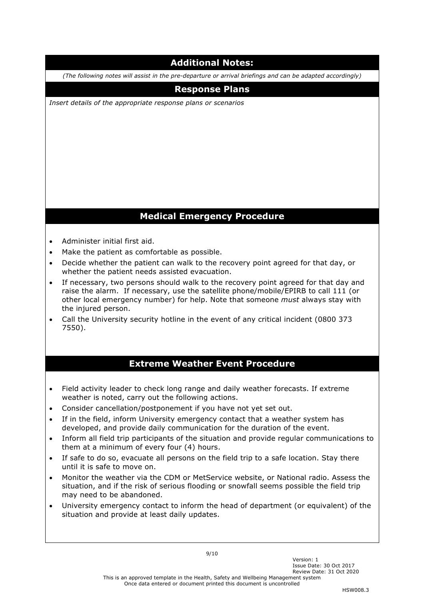# **Additional Notes:**

*(The following notes will assist in the pre-departure or arrival briefings and can be adapted accordingly)* 

### **Response Plans**

*Insert details of the appropriate response plans or scenarios*

# **Medical Emergency Procedure**

- Administer initial first aid.
- Make the patient as comfortable as possible.
- Decide whether the patient can walk to the recovery point agreed for that day, or whether the patient needs assisted evacuation.
- If necessary, two persons should walk to the recovery point agreed for that day and raise the alarm. If necessary, use the satellite phone/mobile/EPIRB to call 111 (or other local emergency number) for help. Note that someone *must* always stay with the injured person.
- Call the University security hotline in the event of any critical incident (0800 373 7550).

#### **Extreme Weather Event Procedure**

- Field activity leader to check long range and daily weather forecasts. If extreme weather is noted, carry out the following actions.
- Consider cancellation/postponement if you have not yet set out.
- If in the field, inform University emergency contact that a weather system has developed, and provide daily communication for the duration of the event.
- Inform all field trip participants of the situation and provide regular communications to them at a minimum of every four (4) hours.
- If safe to do so, evacuate all persons on the field trip to a safe location. Stay there until it is safe to move on.
- Monitor the weather via the CDM or MetService website, or National radio. Assess the situation, and if the risk of serious flooding or snowfall seems possible the field trip may need to be abandoned.
- University emergency contact to inform the head of department (or equivalent) of the situation and provide at least daily updates.